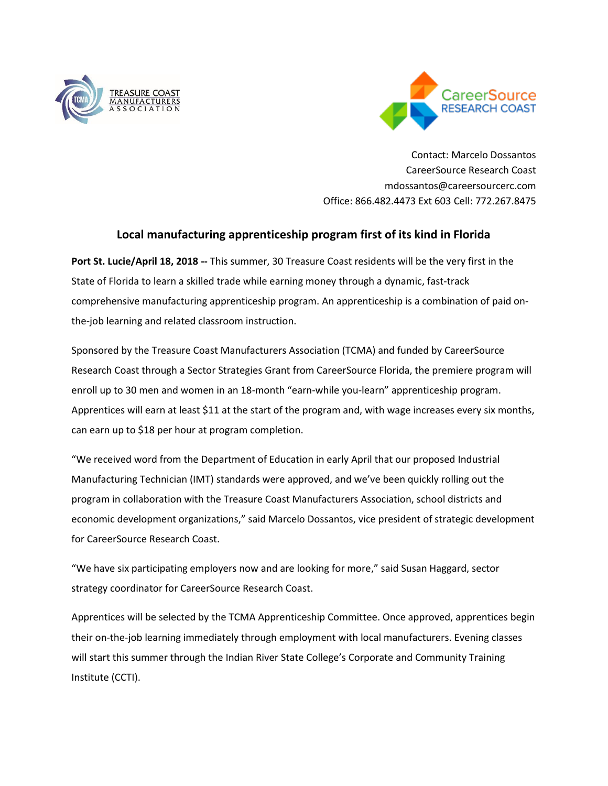



Contact: Marcelo Dossantos CareerSource Research Coast mdossantos@careersourcerc.com Office: 866.482.4473 Ext 603 Cell: 772.267.8475

## **Local manufacturing apprenticeship program first of its kind in Florida**

**Port St. Lucie/April 18, 2018 --** This summer, 30 Treasure Coast residents will be the very first in the State of Florida to learn a skilled trade while earning money through a dynamic, fast-track comprehensive manufacturing apprenticeship program. An apprenticeship is a combination of paid onthe-job learning and related classroom instruction.

Sponsored by the Treasure Coast Manufacturers Association (TCMA) and funded by CareerSource Research Coast through a Sector Strategies Grant from CareerSource Florida, the premiere program will enroll up to 30 men and women in an 18-month "earn-while you-learn" apprenticeship program. Apprentices will earn at least \$11 at the start of the program and, with wage increases every six months, can earn up to \$18 per hour at program completion.

"We received word from the Department of Education in early April that our proposed Industrial Manufacturing Technician (IMT) standards were approved, and we've been quickly rolling out the program in collaboration with the Treasure Coast Manufacturers Association, school districts and economic development organizations," said Marcelo Dossantos, vice president of strategic development for CareerSource Research Coast.

"We have six participating employers now and are looking for more," said Susan Haggard, sector strategy coordinator for CareerSource Research Coast.

Apprentices will be selected by the TCMA Apprenticeship Committee. Once approved, apprentices begin their on-the-job learning immediately through employment with local manufacturers. Evening classes will start this summer through the Indian River State College's Corporate and Community Training Institute (CCTI).